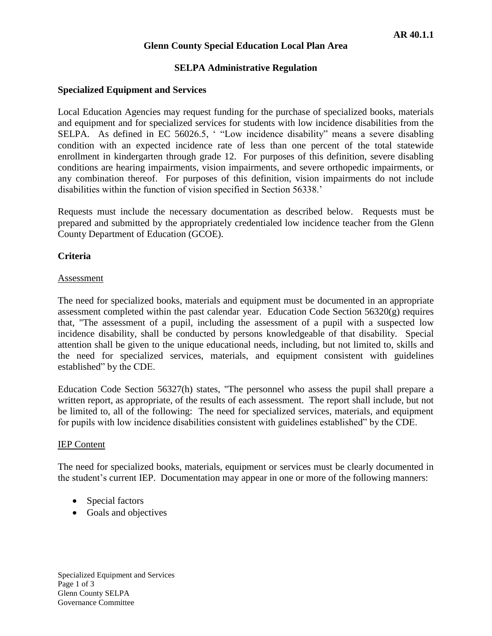## **Glenn County Special Education Local Plan Area**

## **SELPA Administrative Regulation**

## **Specialized Equipment and Services**

Local Education Agencies may request funding for the purchase of specialized books, materials and equipment and for specialized services for students with low incidence disabilities from the SELPA. As defined in EC 56026.5, ' "Low incidence disability" means a severe disabling condition with an expected incidence rate of less than one percent of the total statewide enrollment in kindergarten through grade 12. For purposes of this definition, severe disabling conditions are hearing impairments, vision impairments, and severe orthopedic impairments, or any combination thereof. For purposes of this definition, vision impairments do not include disabilities within the function of vision specified in Section 56338.'

Requests must include the necessary documentation as described below. Requests must be prepared and submitted by the appropriately credentialed low incidence teacher from the Glenn County Department of Education (GCOE).

## **Criteria**

### Assessment

The need for specialized books, materials and equipment must be documented in an appropriate assessment completed within the past calendar year. Education Code Section 56320(g) requires that, "The assessment of a pupil, including the assessment of a pupil with a suspected low incidence disability, shall be conducted by persons knowledgeable of that disability. Special attention shall be given to the unique educational needs, including, but not limited to, skills and the need for specialized services, materials, and equipment consistent with guidelines established" by the CDE.

Education Code Section 56327(h) states, "The personnel who assess the pupil shall prepare a written report, as appropriate, of the results of each assessment. The report shall include, but not be limited to, all of the following: The need for specialized services, materials, and equipment for pupils with low incidence disabilities consistent with guidelines established" by the CDE.

### IEP Content

The need for specialized books, materials, equipment or services must be clearly documented in the student's current IEP. Documentation may appear in one or more of the following manners:

- Special factors
- Goals and objectives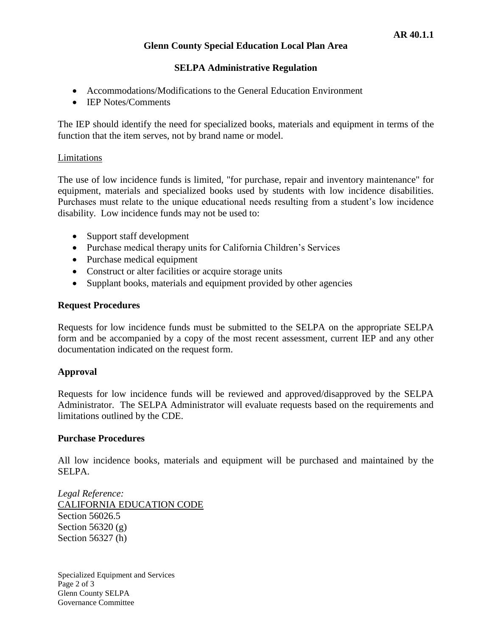## **Glenn County Special Education Local Plan Area**

## **SELPA Administrative Regulation**

- Accommodations/Modifications to the General Education Environment
- **IEP Notes/Comments**

The IEP should identify the need for specialized books, materials and equipment in terms of the function that the item serves, not by brand name or model.

#### **Limitations**

The use of low incidence funds is limited, "for purchase, repair and inventory maintenance" for equipment, materials and specialized books used by students with low incidence disabilities. Purchases must relate to the unique educational needs resulting from a student's low incidence disability. Low incidence funds may not be used to:

- Support staff development
- Purchase medical therapy units for California Children's Services
- Purchase medical equipment
- Construct or alter facilities or acquire storage units
- Supplant books, materials and equipment provided by other agencies

### **Request Procedures**

Requests for low incidence funds must be submitted to the SELPA on the appropriate SELPA form and be accompanied by a copy of the most recent assessment, current IEP and any other documentation indicated on the request form.

### **Approval**

Requests for low incidence funds will be reviewed and approved/disapproved by the SELPA Administrator. The SELPA Administrator will evaluate requests based on the requirements and limitations outlined by the CDE.

#### **Purchase Procedures**

All low incidence books, materials and equipment will be purchased and maintained by the SELPA.

*Legal Reference:* CALIFORNIA EDUCATION CODE Section 56026.5 Section 56320 (g) Section 56327 (h)

Specialized Equipment and Services Page 2 of 3 Glenn County SELPA Governance Committee